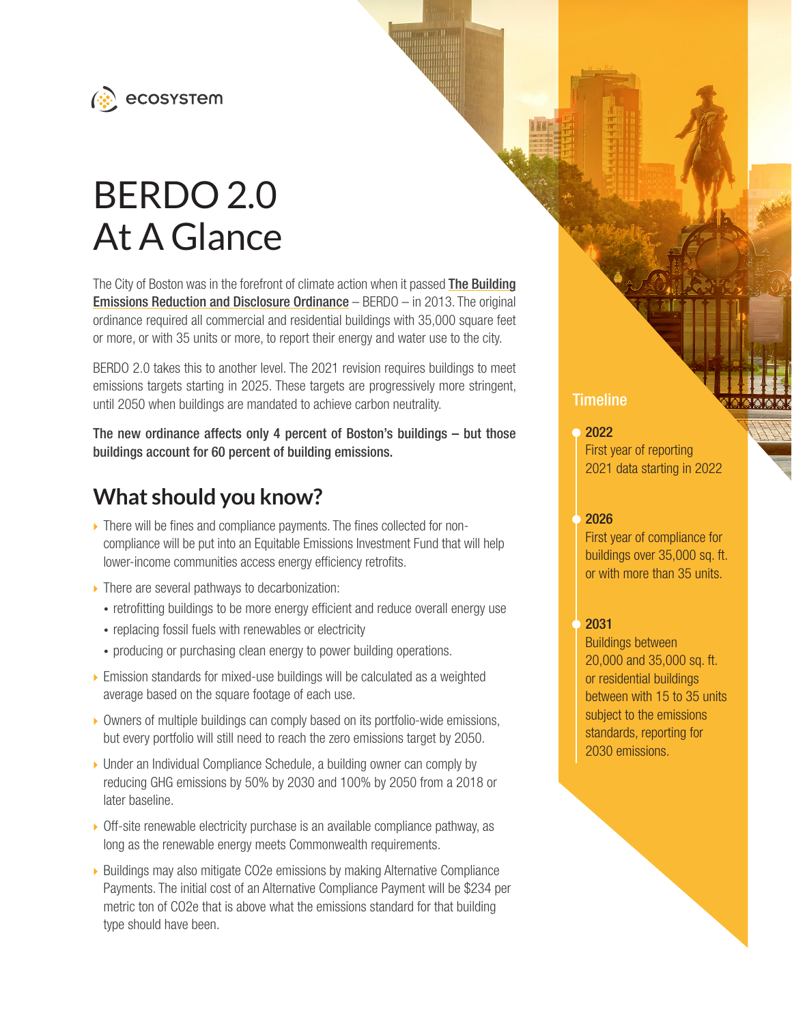

# BERDO 2.0 At A Glance

The City of Boston was in the forefront of climate action when it passed [The Building](https://www.boston.gov/sites/default/files/file/2021/07/Docket%2520%230775.PDF) [Emissions Reduction and Disclosure Ordinance](https://www.boston.gov/sites/default/files/file/2021/07/Docket%2520%230775.PDF) – BERDO – in 2013. The original ordinance required all commercial and residential buildings with 35,000 square feet or more, or with 35 units or more, to report their energy and water use to the city.

BERDO 2.0 takes this to another level. The 2021 revision requires buildings to meet emissions targets starting in 2025. These targets are progressively more stringent, until 2050 when buildings are mandated to achieve carbon neutrality.

The new ordinance affects only 4 percent of Boston's buildings – but those buildings account for 60 percent of building emissions.

# **What should you know?**

- $\triangleright$  There will be fines and compliance payments. The fines collected for noncompliance will be put into an Equitable Emissions Investment Fund that will help lower-income communities access energy efficiency retrofits.
- $\triangleright$  There are several pathways to decarbonization:
	- retrofitting buildings to be more energy efficient and reduce overall energy use
	- replacing fossil fuels with renewables or electricity
	- producing or purchasing clean energy to power building operations.
- $\triangleright$  Emission standards for mixed-use buildings will be calculated as a weighted average based on the square footage of each use.
- ▶ Owners of multiple buildings can comply based on its portfolio-wide emissions, but every portfolio will still need to reach the zero emissions target by 2050.
- ▶ Under an Individual Compliance Schedule, a building owner can comply by reducing GHG emissions by 50% by 2030 and 100% by 2050 from a 2018 or later baseline.
- $\triangleright$  Off-site renewable electricity purchase is an available compliance pathway, as long as the renewable energy meets Commonwealth requirements.
- ▶ Buildings may also mitigate CO2e emissions by making Alternative Compliance Payments. The initial cost of an Alternative Compliance Payment will be \$234 per metric ton of CO2e that is above what the emissions standard for that building type should have been.

## **Timeline**

#### 2022

First year of reporting 2021 data starting in 2022

#### 2026

First year of compliance for buildings over 35,000 sq. ft. or with more than 35 units.

#### 2031

Buildings between 20,000 and 35,000 sq. ft. or residential buildings between with 15 to 35 units subject to the emissions standards, reporting for 2030 emissions.